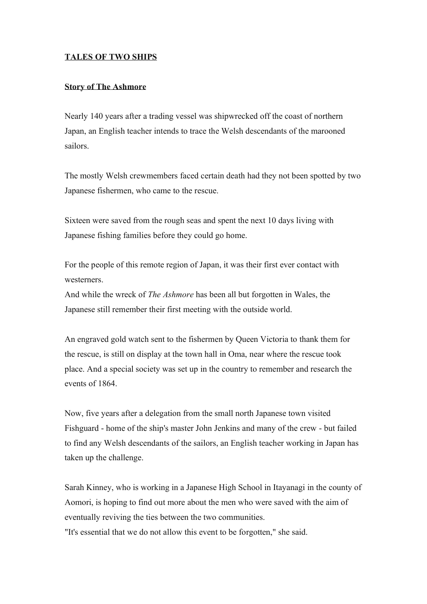## **TALES OF TWO SHIPS**

## **Story of The Ashmore**

Nearly 140 years after a trading vessel was shipwrecked off the coast of northern Japan, an English teacher intends to trace the Welsh descendants of the marooned sailors.

The mostly Welsh crewmembers faced certain death had they not been spotted by two Japanese fishermen, who came to the rescue.

Sixteen were saved from the rough seas and spent the next 10 days living with Japanese fishing families before they could go home.

For the people of this remote region of Japan, it was their first ever contact with westerners.

And while the wreck of *The Ashmore* has been all but forgotten in Wales, the Japanese still remember their first meeting with the outside world.

An engraved gold watch sent to the fishermen by Queen Victoria to thank them for the rescue, is still on display at the town hall in Oma, near where the rescue took place. And a special society was set up in the country to remember and research the events of 1864.

Now, five years after a delegation from the small north Japanese town visited Fishguard - home of the ship's master John Jenkins and many of the crew - but failed to find any Welsh descendants of the sailors, an English teacher working in Japan has taken up the challenge.

Sarah Kinney, who is working in a Japanese High School in Itayanagi in the county of Aomori, is hoping to find out more about the men who were saved with the aim of eventually reviving the ties between the two communities.

"It's essential that we do not allow this event to be forgotten," she said.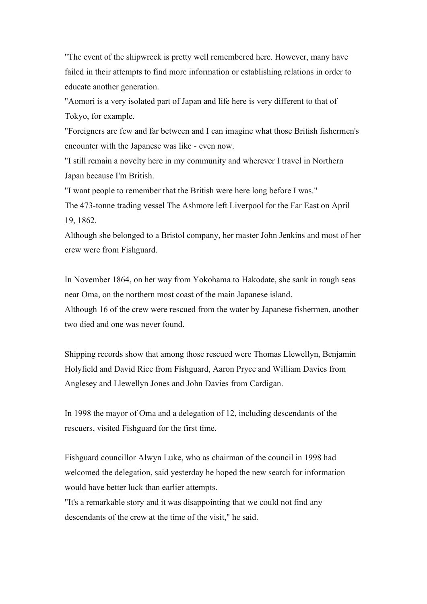"The event of the shipwreck is pretty well remembered here. However, many have failed in their attempts to find more information or establishing relations in order to educate another generation.

"Aomori is a very isolated part of Japan and life here is very different to that of Tokyo, for example.

"Foreigners are few and far between and I can imagine what those British fishermen's encounter with the Japanese was like - even now.

"I still remain a novelty here in my community and wherever I travel in Northern Japan because I'm British.

"I want people to remember that the British were here long before I was."

The 473-tonne trading vessel The Ashmore left Liverpool for the Far East on April 19, 1862.

Although she belonged to a Bristol company, her master John Jenkins and most of her crew were from Fishguard.

In November 1864, on her way from Yokohama to Hakodate, she sank in rough seas near Oma, on the northern most coast of the main Japanese island. Although 16 of the crew were rescued from the water by Japanese fishermen, another two died and one was never found.

Shipping records show that among those rescued were Thomas Llewellyn, Benjamin Holyfield and David Rice from Fishguard, Aaron Pryce and William Davies from Anglesey and Llewellyn Jones and John Davies from Cardigan.

In 1998 the mayor of Oma and a delegation of 12, including descendants of the rescuers, visited Fishguard for the first time.

Fishguard councillor Alwyn Luke, who as chairman of the council in 1998 had welcomed the delegation, said yesterday he hoped the new search for information would have better luck than earlier attempts.

"It's a remarkable story and it was disappointing that we could not find any descendants of the crew at the time of the visit," he said.